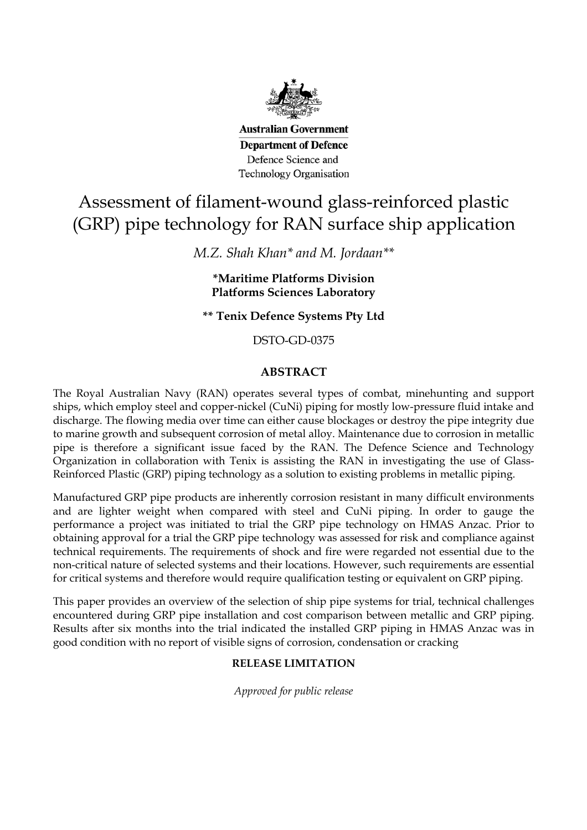

**Australian Government Department of Defence** Defence Science and **Technology Organisation** 

# Assessment of filament-wound glass-reinforced plastic (GRP) pipe technology for RAN surface ship application

*M.Z. Shah Khan\* and M. Jordaan\*\** 

# **\*Maritime Platforms Division Platforms Sciences Laboratory**

**\*\* Tenix Defence Systems Pty Ltd**

# DSTO-GD-0375

# **ABSTRACT**

The Royal Australian Navy (RAN) operates several types of combat, minehunting and support ships, which employ steel and copper-nickel (CuNi) piping for mostly low-pressure fluid intake and discharge. The flowing media over time can either cause blockages or destroy the pipe integrity due to marine growth and subsequent corrosion of metal alloy. Maintenance due to corrosion in metallic pipe is therefore a significant issue faced by the RAN. The Defence Science and Technology Organization in collaboration with Tenix is assisting the RAN in investigating the use of Glass-Reinforced Plastic (GRP) piping technology as a solution to existing problems in metallic piping.

Manufactured GRP pipe products are inherently corrosion resistant in many difficult environments and are lighter weight when compared with steel and CuNi piping. In order to gauge the performance a project was initiated to trial the GRP pipe technology on HMAS Anzac. Prior to obtaining approval for a trial the GRP pipe technology was assessed for risk and compliance against technical requirements. The requirements of shock and fire were regarded not essential due to the non-critical nature of selected systems and their locations. However, such requirements are essential for critical systems and therefore would require qualification testing or equivalent on GRP piping.

This paper provides an overview of the selection of ship pipe systems for trial, technical challenges encountered during GRP pipe installation and cost comparison between metallic and GRP piping. Results after six months into the trial indicated the installed GRP piping in HMAS Anzac was in good condition with no report of visible signs of corrosion, condensation or cracking

### **RELEASE LIMITATION**

*Approved for public release*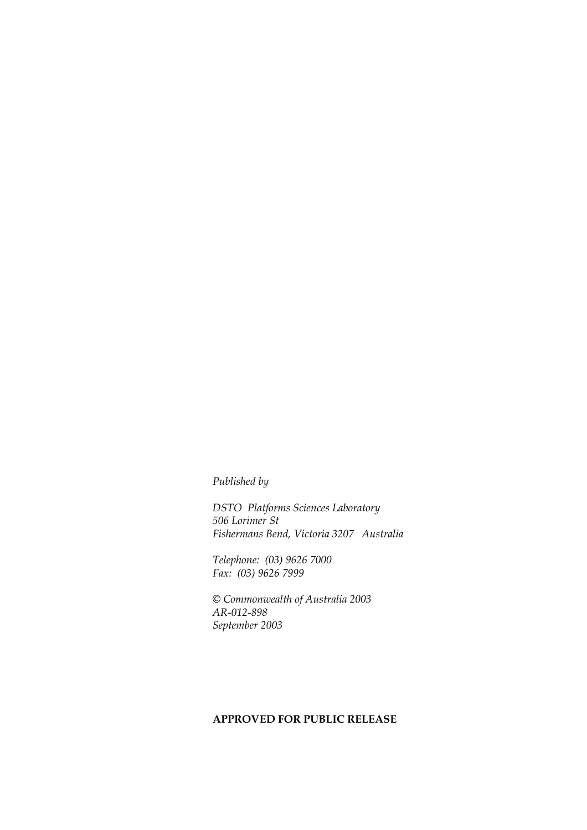*Published by*

*DSTO Platforms Sciences Laboratory 506 Lorimer St Fishermans Bend, Victoria 3207 Australia* 

*Telephone: (03) 9626 7000 Fax: (03) 9626 7999* 

*© Commonwealth of Australia 2003 AR-012-898 September 2003* 

### **APPROVED FOR PUBLIC RELEASE**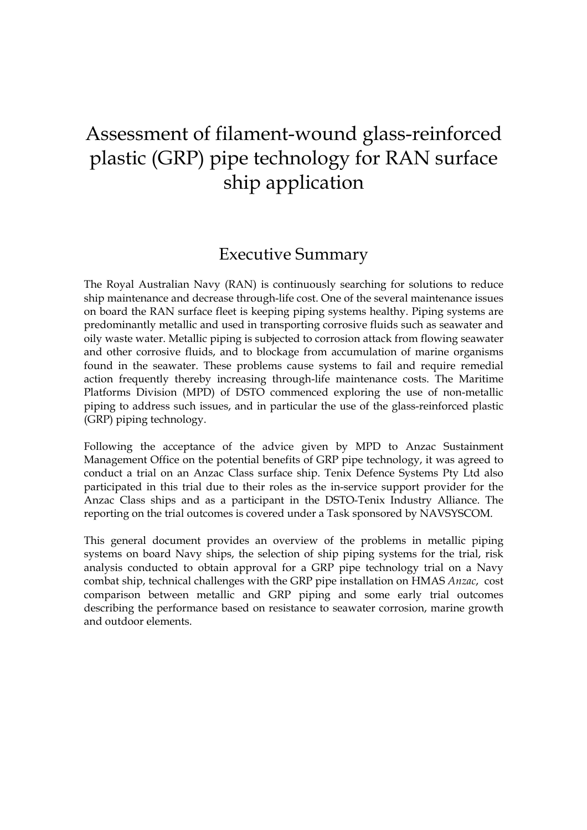# Assessment of filament-wound glass-reinforced plastic (GRP) pipe technology for RAN surface ship application

# Executive Summary

The Royal Australian Navy (RAN) is continuously searching for solutions to reduce ship maintenance and decrease through-life cost. One of the several maintenance issues on board the RAN surface fleet is keeping piping systems healthy. Piping systems are predominantly metallic and used in transporting corrosive fluids such as seawater and oily waste water. Metallic piping is subjected to corrosion attack from flowing seawater and other corrosive fluids, and to blockage from accumulation of marine organisms found in the seawater. These problems cause systems to fail and require remedial action frequently thereby increasing through-life maintenance costs. The Maritime Platforms Division (MPD) of DSTO commenced exploring the use of non-metallic piping to address such issues, and in particular the use of the glass-reinforced plastic (GRP) piping technology.

Following the acceptance of the advice given by MPD to Anzac Sustainment Management Office on the potential benefits of GRP pipe technology, it was agreed to conduct a trial on an Anzac Class surface ship. Tenix Defence Systems Pty Ltd also participated in this trial due to their roles as the in-service support provider for the Anzac Class ships and as a participant in the DSTO-Tenix Industry Alliance. The reporting on the trial outcomes is covered under a Task sponsored by NAVSYSCOM.

This general document provides an overview of the problems in metallic piping systems on board Navy ships, the selection of ship piping systems for the trial, risk analysis conducted to obtain approval for a GRP pipe technology trial on a Navy combat ship, technical challenges with the GRP pipe installation on HMAS *Anzac*, cost comparison between metallic and GRP piping and some early trial outcomes describing the performance based on resistance to seawater corrosion, marine growth and outdoor elements.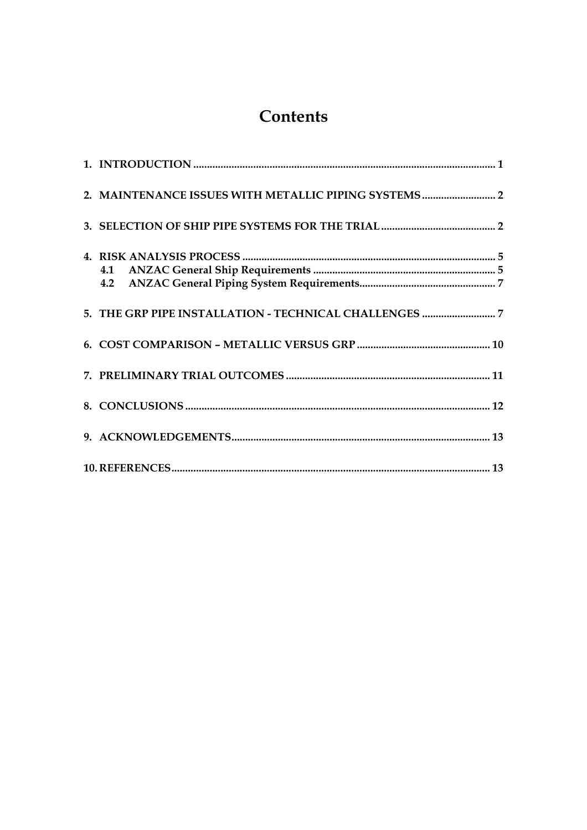# Contents

| 2. MAINTENANCE ISSUES WITH METALLIC PIPING SYSTEMS 2 |  |
|------------------------------------------------------|--|
|                                                      |  |
|                                                      |  |
|                                                      |  |
|                                                      |  |
|                                                      |  |
|                                                      |  |
|                                                      |  |
|                                                      |  |
|                                                      |  |
|                                                      |  |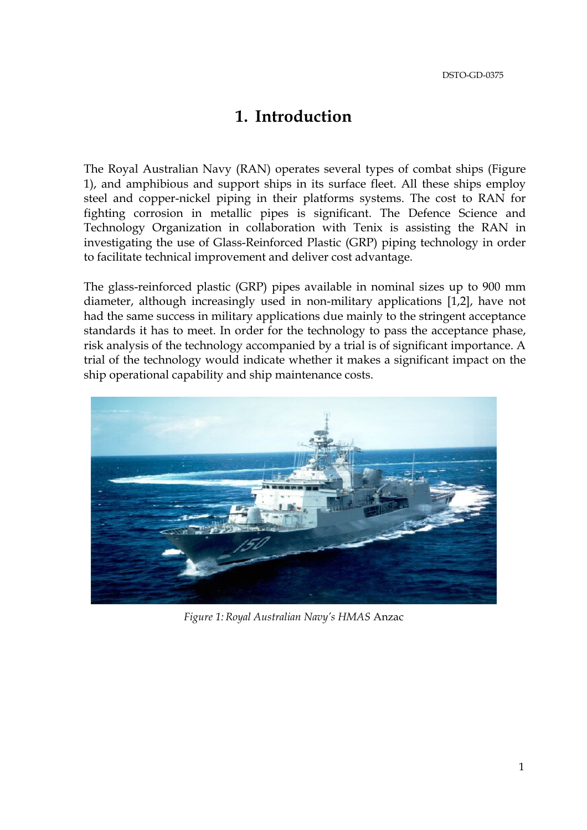# **1. Introduction**

<span id="page-4-0"></span>The Royal Australian Navy (RAN) operates several types of combat ships (Figure 1), and amphibious and support ships in its surface fleet. All these ships employ steel and copper-nickel piping in their platforms systems. The cost to RAN for fighting corrosion in metallic pipes is significant. The Defence Science and Technology Organization in collaboration with Tenix is assisting the RAN in investigating the use of Glass-Reinforced Plastic (GRP) piping technology in order to facilitate technical improvement and deliver cost advantage.

The glass-reinforced plastic (GRP) pipes available in nominal sizes up to 900 mm diameter, although increasingly used in non-military applications [1,2], have not had the same success in military applications due mainly to the stringent acceptance standards it has to meet. In order for the technology to pass the acceptance phase, risk analysis of the technology accompanied by a trial is of significant importance. A trial of the technology would indicate whether it makes a significant impact on the ship operational capability and ship maintenance costs.



*Figure 1: Royal Australian Navy's HMAS* Anzac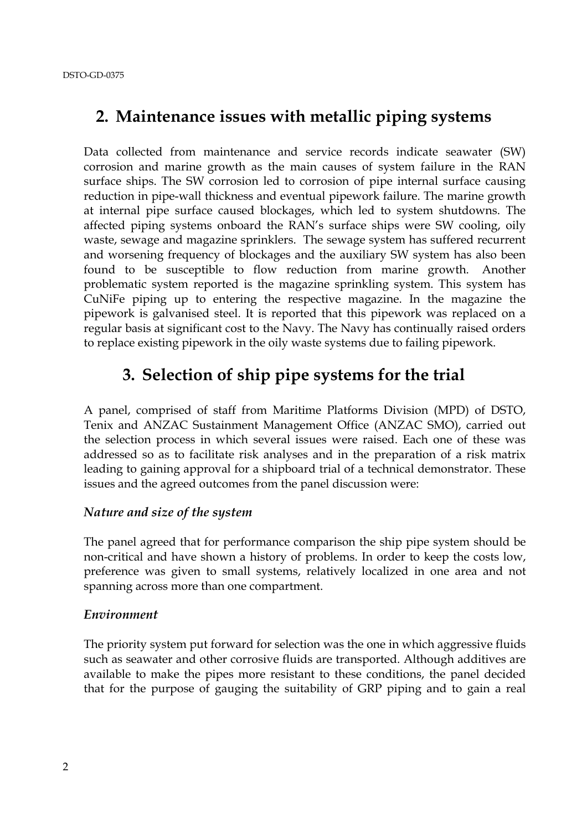# <span id="page-5-0"></span>**2. Maintenance issues with metallic piping systems**

Data collected from maintenance and service records indicate seawater (SW) corrosion and marine growth as the main causes of system failure in the RAN surface ships. The SW corrosion led to corrosion of pipe internal surface causing reduction in pipe-wall thickness and eventual pipework failure. The marine growth at internal pipe surface caused blockages, which led to system shutdowns. The affected piping systems onboard the RAN's surface ships were SW cooling, oily waste, sewage and magazine sprinklers. The sewage system has suffered recurrent and worsening frequency of blockages and the auxiliary SW system has also been found to be susceptible to flow reduction from marine growth. Another problematic system reported is the magazine sprinkling system. This system has CuNiFe piping up to entering the respective magazine. In the magazine the pipework is galvanised steel. It is reported that this pipework was replaced on a regular basis at significant cost to the Navy. The Navy has continually raised orders to replace existing pipework in the oily waste systems due to failing pipework.

# **3. Selection of ship pipe systems for the trial**

A panel, comprised of staff from Maritime Platforms Division (MPD) of DSTO, Tenix and ANZAC Sustainment Management Office (ANZAC SMO), carried out the selection process in which several issues were raised. Each one of these was addressed so as to facilitate risk analyses and in the preparation of a risk matrix leading to gaining approval for a shipboard trial of a technical demonstrator. These issues and the agreed outcomes from the panel discussion were:

# *Nature and size of the system*

The panel agreed that for performance comparison the ship pipe system should be non-critical and have shown a history of problems. In order to keep the costs low, preference was given to small systems, relatively localized in one area and not spanning across more than one compartment.

### *Environment*

The priority system put forward for selection was the one in which aggressive fluids such as seawater and other corrosive fluids are transported. Although additives are available to make the pipes more resistant to these conditions, the panel decided that for the purpose of gauging the suitability of GRP piping and to gain a real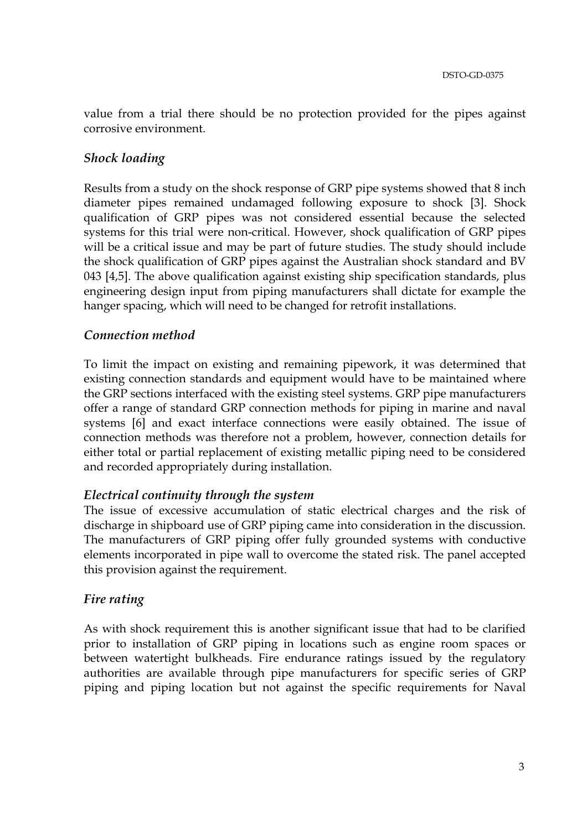value from a trial there should be no protection provided for the pipes against corrosive environment.

### *Shock loading*

Results from a study on the shock response of GRP pipe systems showed that 8 inch diameter pipes remained undamaged following exposure to shock [3]. Shock qualification of GRP pipes was not considered essential because the selected systems for this trial were non-critical. However, shock qualification of GRP pipes will be a critical issue and may be part of future studies. The study should include the shock qualification of GRP pipes against the Australian shock standard and BV 043 [4,5]. The above qualification against existing ship specification standards, plus engineering design input from piping manufacturers shall dictate for example the hanger spacing, which will need to be changed for retrofit installations.

### *Connection method*

To limit the impact on existing and remaining pipework, it was determined that existing connection standards and equipment would have to be maintained where the GRP sections interfaced with the existing steel systems. GRP pipe manufacturers offer a range of standard GRP connection methods for piping in marine and naval systems [6] and exact interface connections were easily obtained. The issue of connection methods was therefore not a problem, however, connection details for either total or partial replacement of existing metallic piping need to be considered and recorded appropriately during installation.

#### *Electrical continuity through the system*

The issue of excessive accumulation of static electrical charges and the risk of discharge in shipboard use of GRP piping came into consideration in the discussion. The manufacturers of GRP piping offer fully grounded systems with conductive elements incorporated in pipe wall to overcome the stated risk. The panel accepted this provision against the requirement.

### *Fire rating*

As with shock requirement this is another significant issue that had to be clarified prior to installation of GRP piping in locations such as engine room spaces or between watertight bulkheads. Fire endurance ratings issued by the regulatory authorities are available through pipe manufacturers for specific series of GRP piping and piping location but not against the specific requirements for Naval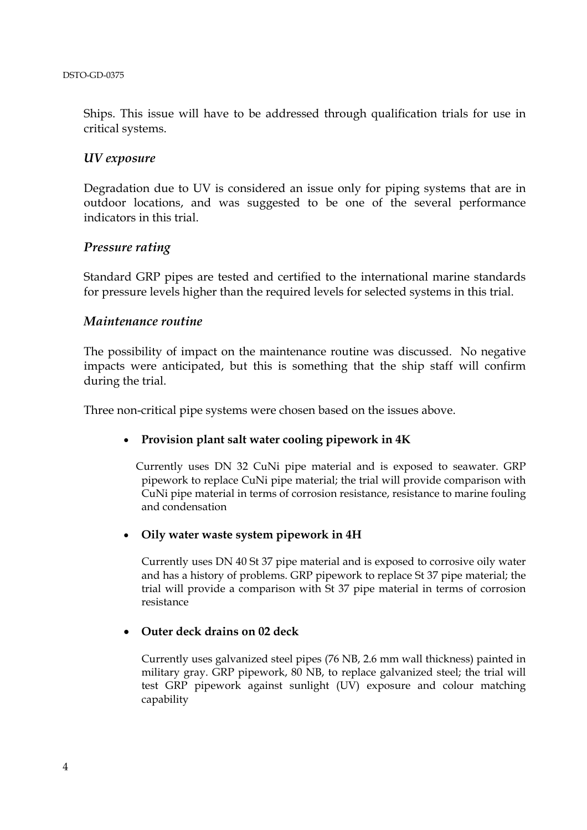Ships. This issue will have to be addressed through qualification trials for use in critical systems.

### *UV exposure*

Degradation due to UV is considered an issue only for piping systems that are in outdoor locations, and was suggested to be one of the several performance indicators in this trial.

### *Pressure rating*

Standard GRP pipes are tested and certified to the international marine standards for pressure levels higher than the required levels for selected systems in this trial.

### *Maintenance routine*

The possibility of impact on the maintenance routine was discussed. No negative impacts were anticipated, but this is something that the ship staff will confirm during the trial.

Three non-critical pipe systems were chosen based on the issues above.

#### • **Provision plant salt water cooling pipework in 4K**

 Currently uses DN 32 CuNi pipe material and is exposed to seawater. GRP pipework to replace CuNi pipe material; the trial will provide comparison with CuNi pipe material in terms of corrosion resistance, resistance to marine fouling and condensation

#### • **Oily water waste system pipework in 4H**

Currently uses DN 40 St 37 pipe material and is exposed to corrosive oily water and has a history of problems. GRP pipework to replace St 37 pipe material; the trial will provide a comparison with St 37 pipe material in terms of corrosion resistance

#### • **Outer deck drains on 02 deck**

Currently uses galvanized steel pipes (76 NB, 2.6 mm wall thickness) painted in military gray. GRP pipework, 80 NB, to replace galvanized steel; the trial will test GRP pipework against sunlight (UV) exposure and colour matching capability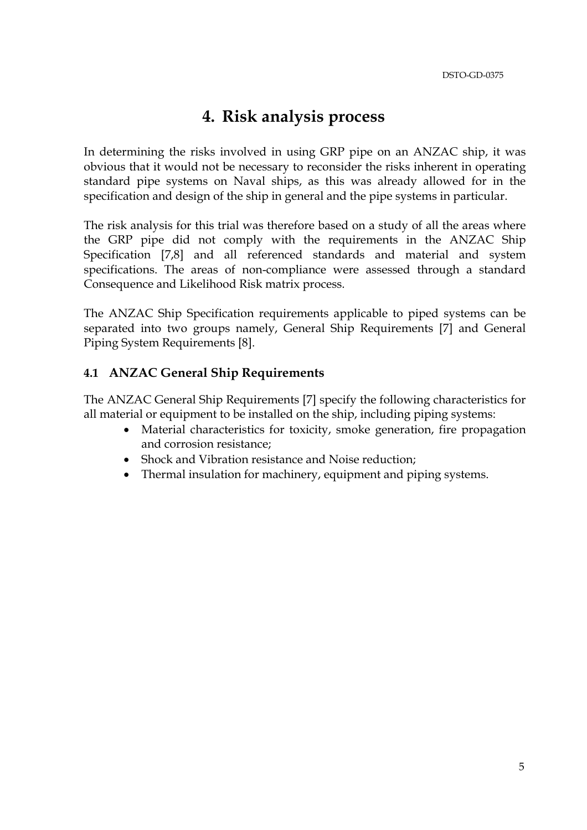# **4. Risk analysis process**

<span id="page-8-0"></span>In determining the risks involved in using GRP pipe on an ANZAC ship, it was obvious that it would not be necessary to reconsider the risks inherent in operating standard pipe systems on Naval ships, as this was already allowed for in the specification and design of the ship in general and the pipe systems in particular.

The risk analysis for this trial was therefore based on a study of all the areas where the GRP pipe did not comply with the requirements in the ANZAC Ship Specification [7,8] and all referenced standards and material and system specifications. The areas of non-compliance were assessed through a standard Consequence and Likelihood Risk matrix process.

The ANZAC Ship Specification requirements applicable to piped systems can be separated into two groups namely, General Ship Requirements [7] and General Piping System Requirements [8].

# **4.1 ANZAC General Ship Requirements**

The ANZAC General Ship Requirements [7] specify the following characteristics for all material or equipment to be installed on the ship, including piping systems:

- Material characteristics for toxicity, smoke generation, fire propagation and corrosion resistance;
- Shock and Vibration resistance and Noise reduction;
- Thermal insulation for machinery, equipment and piping systems.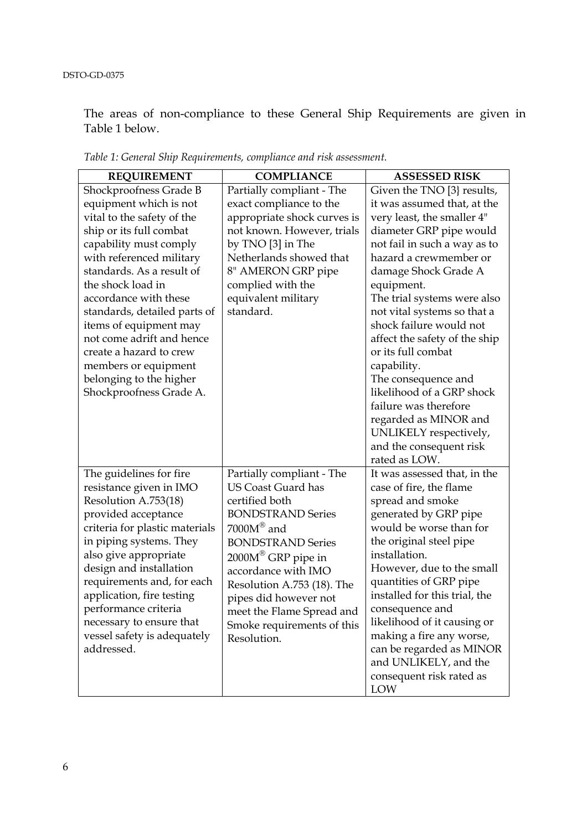The areas of non-compliance to these General Ship Requirements are given in Table 1 below.

| <b>REQUIREMENT</b>             | <b>COMPLIANCE</b>              | <b>ASSESSED RISK</b>          |
|--------------------------------|--------------------------------|-------------------------------|
| Shockproofness Grade B         | Partially compliant - The      | Given the TNO [3] results,    |
| equipment which is not         | exact compliance to the        | it was assumed that, at the   |
| vital to the safety of the     | appropriate shock curves is    | very least, the smaller 4"    |
| ship or its full combat        | not known. However, trials     | diameter GRP pipe would       |
| capability must comply         | by TNO [3] in The              | not fail in such a way as to  |
| with referenced military       | Netherlands showed that        | hazard a crewmember or        |
| standards. As a result of      | 8" AMERON GRP pipe             | damage Shock Grade A          |
| the shock load in              | complied with the              | equipment.                    |
| accordance with these          | equivalent military            | The trial systems were also   |
| standards, detailed parts of   | standard.                      | not vital systems so that a   |
| items of equipment may         |                                | shock failure would not       |
| not come adrift and hence      |                                | affect the safety of the ship |
| create a hazard to crew        |                                | or its full combat            |
| members or equipment           |                                | capability.                   |
| belonging to the higher        |                                | The consequence and           |
| Shockproofness Grade A.        |                                | likelihood of a GRP shock     |
|                                |                                | failure was therefore         |
|                                |                                | regarded as MINOR and         |
|                                |                                | UNLIKELY respectively,        |
|                                |                                | and the consequent risk       |
|                                |                                | rated as LOW.                 |
| The guidelines for fire        | Partially compliant - The      | It was assessed that, in the  |
| resistance given in IMO        | <b>US Coast Guard has</b>      | case of fire, the flame       |
| Resolution A.753(18)           | certified both                 | spread and smoke              |
| provided acceptance            | <b>BONDSTRAND Series</b>       | generated by GRP pipe         |
| criteria for plastic materials | $7000M^{\circledR}$ and        | would be worse than for       |
| in piping systems. They        | <b>BONDSTRAND Series</b>       | the original steel pipe       |
| also give appropriate          | 2000M <sup>®</sup> GRP pipe in | installation.                 |
| design and installation        | accordance with IMO            | However, due to the small     |
| requirements and, for each     | Resolution A.753 (18). The     | quantities of GRP pipe        |
| application, fire testing      | pipes did however not          | installed for this trial, the |
| performance criteria           | meet the Flame Spread and      | consequence and               |
| necessary to ensure that       | Smoke requirements of this     | likelihood of it causing or   |
| vessel safety is adequately    | Resolution.                    | making a fire any worse,      |
| addressed.                     |                                | can be regarded as MINOR      |
|                                |                                | and UNLIKELY, and the         |
|                                |                                | consequent risk rated as      |
|                                |                                | LOW                           |

*Table 1: General Ship Requirements, compliance and risk assessment.*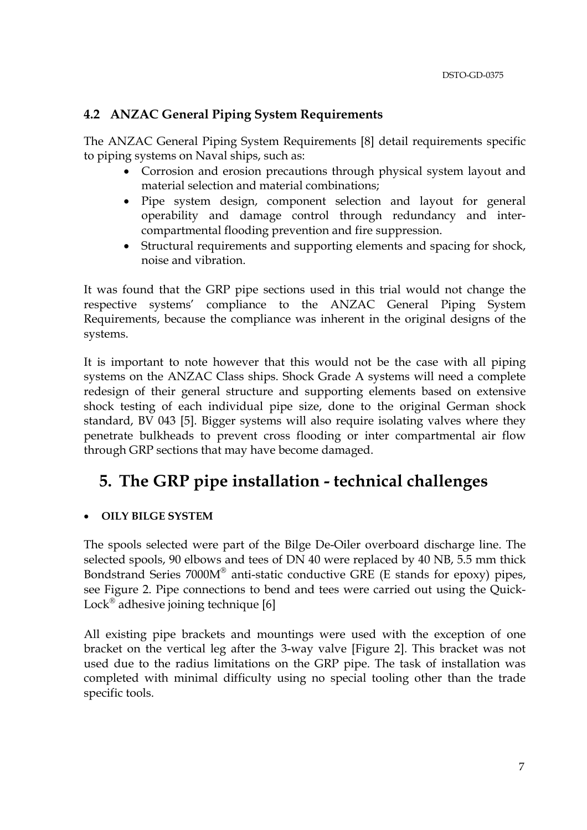# <span id="page-10-0"></span>**4.2 ANZAC General Piping System Requirements**

The ANZAC General Piping System Requirements [8] detail requirements specific to piping systems on Naval ships, such as:

- Corrosion and erosion precautions through physical system layout and material selection and material combinations;
- Pipe system design, component selection and layout for general operability and damage control through redundancy and intercompartmental flooding prevention and fire suppression.
- Structural requirements and supporting elements and spacing for shock, noise and vibration.

It was found that the GRP pipe sections used in this trial would not change the respective systems' compliance to the ANZAC General Piping System Requirements, because the compliance was inherent in the original designs of the systems.

It is important to note however that this would not be the case with all piping systems on the ANZAC Class ships. Shock Grade A systems will need a complete redesign of their general structure and supporting elements based on extensive shock testing of each individual pipe size, done to the original German shock standard, BV 043 [5]. Bigger systems will also require isolating valves where they penetrate bulkheads to prevent cross flooding or inter compartmental air flow through GRP sections that may have become damaged.

# **5. The GRP pipe installation - technical challenges**

### • **OILY BILGE SYSTEM**

The spools selected were part of the Bilge De-Oiler overboard discharge line. The selected spools, 90 elbows and tees of DN 40 were replaced by 40 NB, 5.5 mm thick Bondstrand Series  $7000M^{\circledast}$  anti-static conductive GRE (E stands for epoxy) pipes, see Figure 2. Pipe connections to bend and tees were carried out using the Quick-Lock<sup>®</sup> adhesive joining technique [6]

All existing pipe brackets and mountings were used with the exception of one bracket on the vertical leg after the 3-way valve [Figure 2]. This bracket was not used due to the radius limitations on the GRP pipe. The task of installation was completed with minimal difficulty using no special tooling other than the trade specific tools.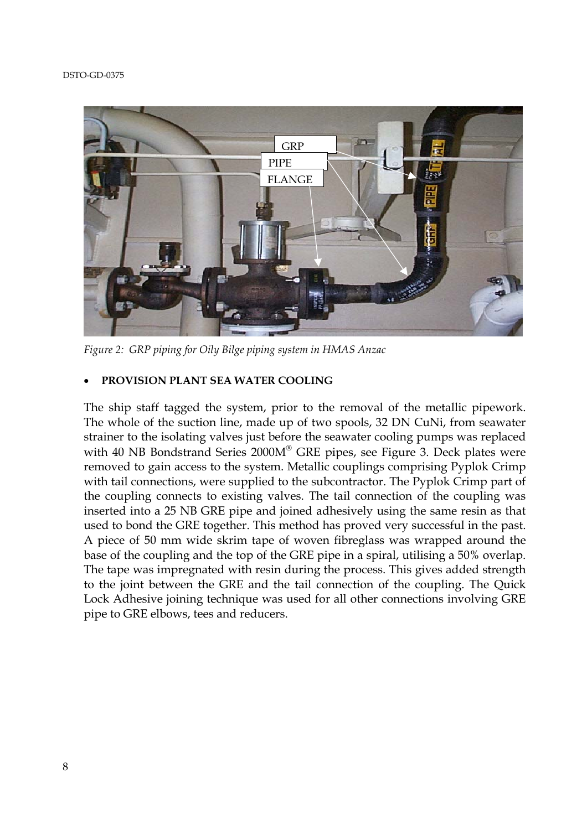

*Figure 2: GRP piping for Oily Bilge piping system in HMAS Anzac*

#### • **PROVISION PLANT SEA WATER COOLING**

The ship staff tagged the system, prior to the removal of the metallic pipework. The whole of the suction line, made up of two spools, 32 DN CuNi, from seawater strainer to the isolating valves just before the seawater cooling pumps was replaced with 40 NB Bondstrand Series 2000M<sup>®</sup> GRE pipes, see Figure 3. Deck plates were removed to gain access to the system. Metallic couplings comprising Pyplok Crimp with tail connections, were supplied to the subcontractor. The Pyplok Crimp part of the coupling connects to existing valves. The tail connection of the coupling was inserted into a 25 NB GRE pipe and joined adhesively using the same resin as that used to bond the GRE together. This method has proved very successful in the past. A piece of 50 mm wide skrim tape of woven fibreglass was wrapped around the base of the coupling and the top of the GRE pipe in a spiral, utilising a 50% overlap. The tape was impregnated with resin during the process. This gives added strength to the joint between the GRE and the tail connection of the coupling. The Quick Lock Adhesive joining technique was used for all other connections involving GRE pipe to GRE elbows, tees and reducers.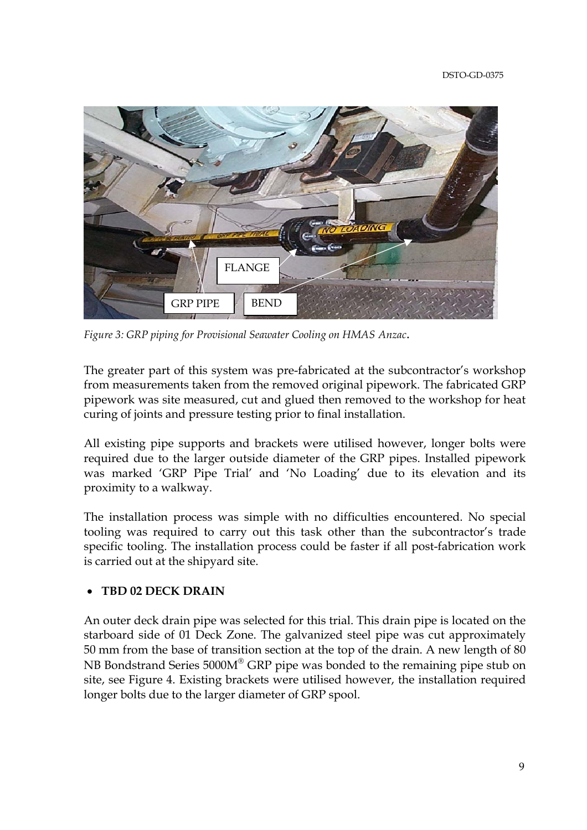

*Figure 3: GRP piping for Provisional Seawater Cooling on HMAS Anzac*.

The greater part of this system was pre-fabricated at the subcontractor's workshop from measurements taken from the removed original pipework. The fabricated GRP pipework was site measured, cut and glued then removed to the workshop for heat curing of joints and pressure testing prior to final installation.

All existing pipe supports and brackets were utilised however, longer bolts were required due to the larger outside diameter of the GRP pipes. Installed pipework was marked 'GRP Pipe Trial' and 'No Loading' due to its elevation and its proximity to a walkway.

The installation process was simple with no difficulties encountered. No special tooling was required to carry out this task other than the subcontractor's trade specific tooling. The installation process could be faster if all post-fabrication work is carried out at the shipyard site.

# • **TBD 02 DECK DRAIN**

An outer deck drain pipe was selected for this trial. This drain pipe is located on the starboard side of 01 Deck Zone. The galvanized steel pipe was cut approximately 50 mm from the base of transition section at the top of the drain. A new length of 80 NB Bondstrand Series 5000M® GRP pipe was bonded to the remaining pipe stub on site, see Figure 4. Existing brackets were utilised however, the installation required longer bolts due to the larger diameter of GRP spool.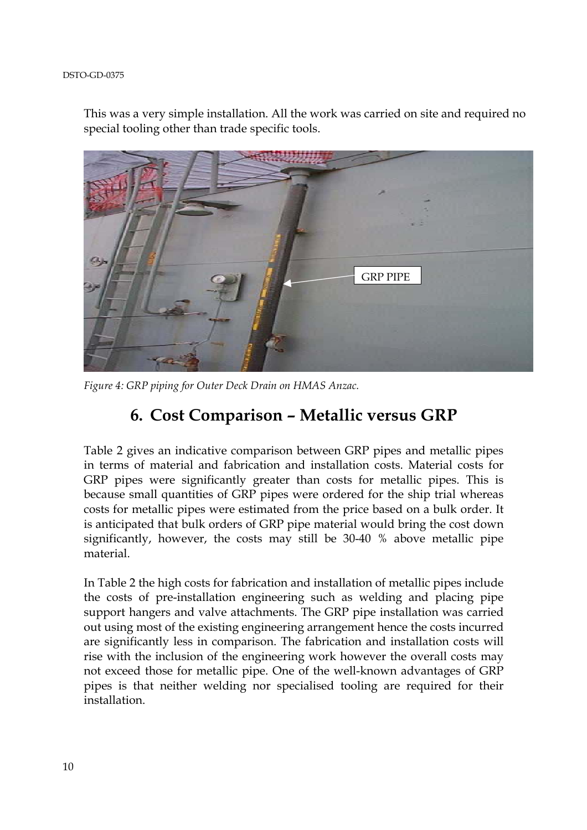<span id="page-13-0"></span>This was a very simple installation. All the work was carried on site and required no special tooling other than trade specific tools.



*Figure 4: GRP piping for Outer Deck Drain on HMAS Anzac.*

# **6. Cost Comparison – Metallic versus GRP**

Table 2 gives an indicative comparison between GRP pipes and metallic pipes in terms of material and fabrication and installation costs. Material costs for GRP pipes were significantly greater than costs for metallic pipes. This is because small quantities of GRP pipes were ordered for the ship trial whereas costs for metallic pipes were estimated from the price based on a bulk order. It is anticipated that bulk orders of GRP pipe material would bring the cost down significantly, however, the costs may still be 30-40 % above metallic pipe material.

In Table 2 the high costs for fabrication and installation of metallic pipes include the costs of pre-installation engineering such as welding and placing pipe support hangers and valve attachments. The GRP pipe installation was carried out using most of the existing engineering arrangement hence the costs incurred are significantly less in comparison. The fabrication and installation costs will rise with the inclusion of the engineering work however the overall costs may not exceed those for metallic pipe. One of the well-known advantages of GRP pipes is that neither welding nor specialised tooling are required for their installation.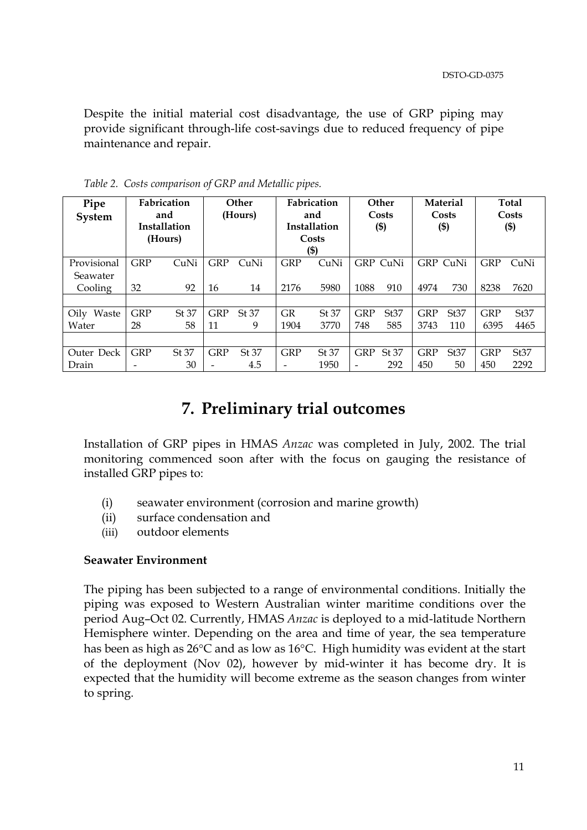<span id="page-14-0"></span>Despite the initial material cost disadvantage, the use of GRP piping may provide significant through-life cost-savings due to reduced frequency of pipe maintenance and repair.

| Pipe<br>System          | Fabrication<br>and<br>Installation |       | <b>Other</b><br>(Hours) |                  | Fabrication<br>and<br>Installation |       | <b>Other</b><br>Costs<br>$($ \$) |              | Material<br>Costs<br>(\$) |          | <b>Total</b><br>Costs<br>$($ \$) |      |
|-------------------------|------------------------------------|-------|-------------------------|------------------|------------------------------------|-------|----------------------------------|--------------|---------------------------|----------|----------------------------------|------|
| (Hours)                 |                                    |       |                         | Costs<br>$($ \$) |                                    |       |                                  |              |                           |          |                                  |      |
| Provisional<br>Seawater | <b>GRP</b>                         | CuNi  | <b>GRP</b>              | CuNi             | <b>GRP</b>                         | CuNi  |                                  | GRP CuNi     |                           | GRP CuNi | <b>GRP</b>                       | CuNi |
| Cooling                 | 32                                 | 92    | 16                      | 14               | 2176                               | 5980  | 1088                             | 910          | 4974                      | 730      | 8238                             | 7620 |
|                         |                                    |       |                         |                  |                                    |       |                                  |              |                           |          |                                  |      |
| Waste<br>Oily           | <b>GRP</b>                         | St 37 | <b>GRP</b>              | St 37            | <b>GR</b>                          | St 37 | <b>GRP</b>                       | St37         | <b>GRP</b>                | St37     | <b>GRP</b>                       | St37 |
| Water                   | 28                                 | 58    | 11                      | 9                | 1904                               | 3770  | 748                              | 585          | 3743                      | 110      | 6395                             | 4465 |
|                         |                                    |       |                         |                  |                                    |       |                                  |              |                           |          |                                  |      |
| Outer Deck              | <b>GRP</b>                         | St 37 | <b>GRP</b>              | St 37            | <b>GRP</b>                         | St 37 | <b>GRP</b>                       | <b>St 37</b> | <b>GRP</b>                | St37     | <b>GRP</b>                       | St37 |
| Drain                   |                                    | 30    |                         | 4.5              | $\qquad \qquad \blacksquare$       | 1950  | $\overline{\phantom{a}}$         | 292          | 450                       | 50       | 450                              | 2292 |

*Table 2. Costs comparison of GRP and Metallic pipes.* 

# **7. Preliminary trial outcomes**

Installation of GRP pipes in HMAS *Anzac* was completed in July, 2002. The trial monitoring commenced soon after with the focus on gauging the resistance of installed GRP pipes to:

- (i) seawater environment (corrosion and marine growth)
- (ii) surface condensation and
- (iii) outdoor elements

#### **Seawater Environment**

The piping has been subjected to a range of environmental conditions. Initially the piping was exposed to Western Australian winter maritime conditions over the period Aug–Oct 02. Currently, HMAS *Anzac* is deployed to a mid-latitude Northern Hemisphere winter. Depending on the area and time of year, the sea temperature has been as high as 26°C and as low as 16°C. High humidity was evident at the start of the deployment (Nov 02), however by mid-winter it has become dry. It is expected that the humidity will become extreme as the season changes from winter to spring.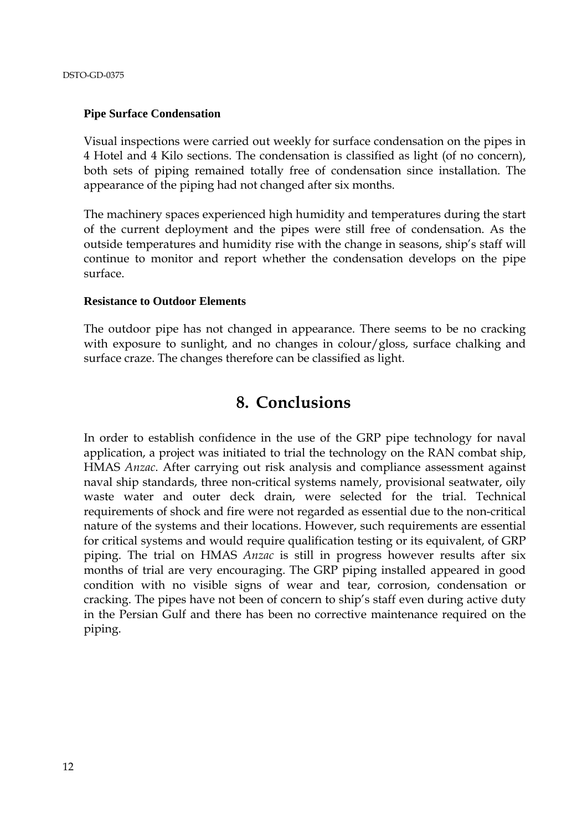#### <span id="page-15-0"></span>**Pipe Surface Condensation**

Visual inspections were carried out weekly for surface condensation on the pipes in 4 Hotel and 4 Kilo sections. The condensation is classified as light (of no concern), both sets of piping remained totally free of condensation since installation. The appearance of the piping had not changed after six months.

The machinery spaces experienced high humidity and temperatures during the start of the current deployment and the pipes were still free of condensation. As the outside temperatures and humidity rise with the change in seasons, ship's staff will continue to monitor and report whether the condensation develops on the pipe surface.

#### **Resistance to Outdoor Elements**

The outdoor pipe has not changed in appearance. There seems to be no cracking with exposure to sunlight, and no changes in colour/gloss, surface chalking and surface craze. The changes therefore can be classified as light.

# **8. Conclusions**

In order to establish confidence in the use of the GRP pipe technology for naval application, a project was initiated to trial the technology on the RAN combat ship, HMAS *Anzac*. After carrying out risk analysis and compliance assessment against naval ship standards, three non-critical systems namely, provisional seatwater, oily waste water and outer deck drain, were selected for the trial. Technical requirements of shock and fire were not regarded as essential due to the non-critical nature of the systems and their locations. However, such requirements are essential for critical systems and would require qualification testing or its equivalent, of GRP piping. The trial on HMAS *Anzac* is still in progress however results after six months of trial are very encouraging. The GRP piping installed appeared in good condition with no visible signs of wear and tear, corrosion, condensation or cracking. The pipes have not been of concern to ship's staff even during active duty in the Persian Gulf and there has been no corrective maintenance required on the piping.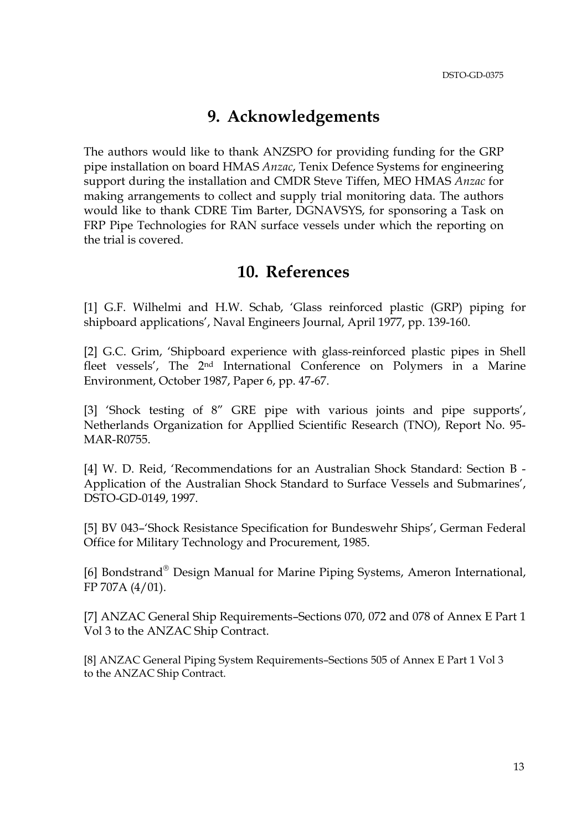# **9. Acknowledgements**

<span id="page-16-0"></span>The authors would like to thank ANZSPO for providing funding for the GRP pipe installation on board HMAS *Anzac*, Tenix Defence Systems for engineering support during the installation and CMDR Steve Tiffen, MEO HMAS *Anzac* for making arrangements to collect and supply trial monitoring data. The authors would like to thank CDRE Tim Barter, DGNAVSYS, for sponsoring a Task on FRP Pipe Technologies for RAN surface vessels under which the reporting on the trial is covered.

# **10. References**

[1] G.F. Wilhelmi and H.W. Schab, 'Glass reinforced plastic (GRP) piping for shipboard applications', Naval Engineers Journal, April 1977, pp. 139-160.

[2] G.C. Grim, 'Shipboard experience with glass-reinforced plastic pipes in Shell fleet vessels', The 2<sup>nd</sup> International Conference on Polymers in a Marine Environment, October 1987, Paper 6, pp. 47-67.

[3] 'Shock testing of 8" GRE pipe with various joints and pipe supports', Netherlands Organization for Appllied Scientific Research (TNO), Report No. 95- MAR-R0755.

[4] W. D. Reid, 'Recommendations for an Australian Shock Standard: Section B - Application of the Australian Shock Standard to Surface Vessels and Submarines', DSTO-GD-0149, 1997.

[5] BV 043–'Shock Resistance Specification for Bundeswehr Ships', German Federal Office for Military Technology and Procurement, 1985.

[6] Bondstrand® Design Manual for Marine Piping Systems, Ameron International, FP 707A (4/01).

[7] ANZAC General Ship Requirements–Sections 070, 072 and 078 of Annex E Part 1 Vol 3 to the ANZAC Ship Contract.

[8] ANZAC General Piping System Requirements–Sections 505 of Annex E Part 1 Vol 3 to the ANZAC Ship Contract.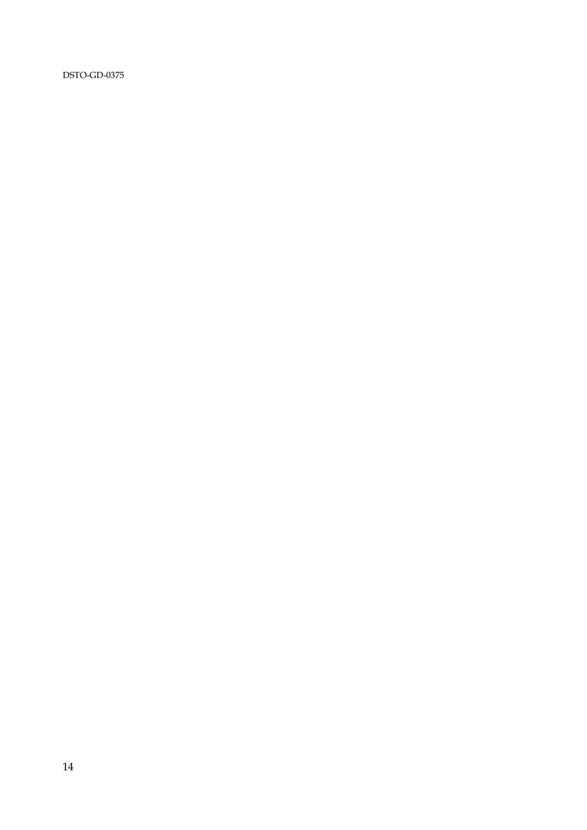DSTO-GD-0375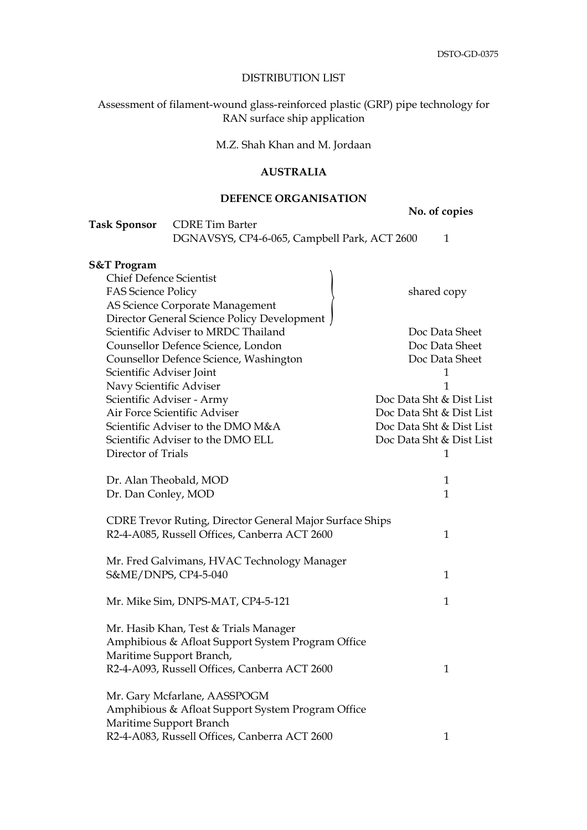#### DISTRIBUTION LIST

Assessment of filament-wound glass-reinforced plastic (GRP) pipe technology for RAN surface ship application

M.Z. Shah Khan and M. Jordaan

### **AUSTRALIA**

#### **DEFENCE ORGANISATION**

|                                |                                                          | No. of copies            |
|--------------------------------|----------------------------------------------------------|--------------------------|
| <b>Task Sponsor</b>            | <b>CDRE</b> Tim Barter                                   |                          |
|                                | DGNAVSYS, CP4-6-065, Campbell Park, ACT 2600             | 1                        |
| <b>S&amp;T</b> Program         |                                                          |                          |
| <b>Chief Defence Scientist</b> |                                                          |                          |
| <b>FAS Science Policy</b>      |                                                          | shared copy              |
|                                | AS Science Corporate Management                          |                          |
|                                | Director General Science Policy Development              |                          |
|                                | Scientific Adviser to MRDC Thailand                      | Doc Data Sheet           |
|                                | Counsellor Defence Science, London                       | Doc Data Sheet           |
|                                | Counsellor Defence Science, Washington                   | Doc Data Sheet           |
| Scientific Adviser Joint       |                                                          | 1                        |
| Navy Scientific Adviser        |                                                          | 1                        |
| Scientific Adviser - Army      |                                                          | Doc Data Sht & Dist List |
|                                | Air Force Scientific Adviser                             | Doc Data Sht & Dist List |
|                                | Scientific Adviser to the DMO M&A                        | Doc Data Sht & Dist List |
|                                | Scientific Adviser to the DMO ELL                        | Doc Data Sht & Dist List |
| Director of Trials             |                                                          | 1                        |
| Dr. Alan Theobald, MOD         |                                                          | 1                        |
| Dr. Dan Conley, MOD            |                                                          | 1                        |
|                                | CDRE Trevor Ruting, Director General Major Surface Ships |                          |
|                                | R2-4-A085, Russell Offices, Canberra ACT 2600            | 1                        |
|                                |                                                          |                          |
|                                | Mr. Fred Galvimans, HVAC Technology Manager              |                          |
| S&ME/DNPS, CP4-5-040           |                                                          | 1                        |
|                                |                                                          |                          |
|                                | Mr. Mike Sim, DNPS-MAT, CP4-5-121                        | 1                        |
|                                | Mr. Hasib Khan, Test & Trials Manager                    |                          |
|                                | Amphibious & Afloat Support System Program Office        |                          |
|                                | Maritime Support Branch,                                 |                          |
|                                | R2-4-A093, Russell Offices, Canberra ACT 2600            | 1                        |
|                                | Mr. Gary Mcfarlane, AASSPOGM                             |                          |
|                                | Amphibious & Afloat Support System Program Office        |                          |
| Maritime Support Branch        |                                                          |                          |
|                                | R2-4-A083, Russell Offices, Canberra ACT 2600            | 1                        |
|                                |                                                          |                          |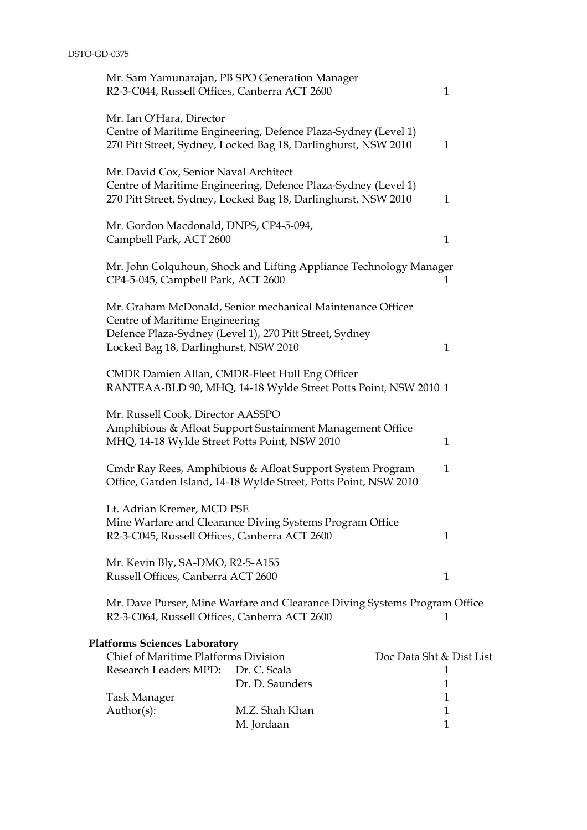| Mr. Sam Yamunarajan, PB SPO Generation Manager<br>R2-3-C044, Russell Offices, Canberra ACT 2600 |                                                                                                                                  | 1            |
|-------------------------------------------------------------------------------------------------|----------------------------------------------------------------------------------------------------------------------------------|--------------|
| Mr. Ian O'Hara, Director                                                                        | Centre of Maritime Engineering, Defence Plaza-Sydney (Level 1)<br>270 Pitt Street, Sydney, Locked Bag 18, Darlinghurst, NSW 2010 | $\mathbf{1}$ |
| Mr. David Cox, Senior Naval Architect                                                           | Centre of Maritime Engineering, Defence Plaza-Sydney (Level 1)<br>270 Pitt Street, Sydney, Locked Bag 18, Darlinghurst, NSW 2010 | 1            |
| Mr. Gordon Macdonald, DNPS, CP4-5-094,<br>Campbell Park, ACT 2600                               |                                                                                                                                  | 1            |
| CP4-5-045, Campbell Park, ACT 2600                                                              | Mr. John Colquhoun, Shock and Lifting Appliance Technology Manager                                                               | 1            |
| Centre of Maritime Engineering<br>Locked Bag 18, Darlinghurst, NSW 2010                         | Mr. Graham McDonald, Senior mechanical Maintenance Officer<br>Defence Plaza-Sydney (Level 1), 270 Pitt Street, Sydney            | $\mathbf{1}$ |
| CMDR Damien Allan, CMDR-Fleet Hull Eng Officer                                                  | RANTEAA-BLD 90, MHQ, 14-18 Wylde Street Potts Point, NSW 2010 1                                                                  |              |
| Mr. Russell Cook, Director AASSPO<br>MHQ, 14-18 Wylde Street Potts Point, NSW 2010              | Amphibious & Afloat Support Sustainment Management Office                                                                        | $\mathbf{1}$ |
|                                                                                                 | Cmdr Ray Rees, Amphibious & Afloat Support System Program<br>Office, Garden Island, 14-18 Wylde Street, Potts Point, NSW 2010    | 1            |
| Lt. Adrian Kremer, MCD PSE<br>R2-3-C045, Russell Offices, Canberra ACT 2600                     | Mine Warfare and Clearance Diving Systems Program Office                                                                         | 1            |
| Mr. Kevin Bly, SA-DMO, R2-5-A155<br>Russell Offices, Canberra ACT 2600                          |                                                                                                                                  | 1            |
| R2-3-C064, Russell Offices, Canberra ACT 2600                                                   | Mr. Dave Purser, Mine Warfare and Clearance Diving Systems Program Office                                                        | 1            |
| <b>Platforms Sciences Laboratory</b>                                                            |                                                                                                                                  |              |
| Chief of Maritime Platforms Division<br>Research Leaders MPD: Dr. C. Scala                      | Doc Data Sht & Dist List                                                                                                         |              |
|                                                                                                 | Dr. D. Saunders                                                                                                                  | 1<br>1       |
| Task Manager                                                                                    |                                                                                                                                  | 1            |
| $Author(s)$ :                                                                                   | M.Z. Shah Khan                                                                                                                   | 1            |
|                                                                                                 | M. Jordaan                                                                                                                       | 1            |
|                                                                                                 |                                                                                                                                  |              |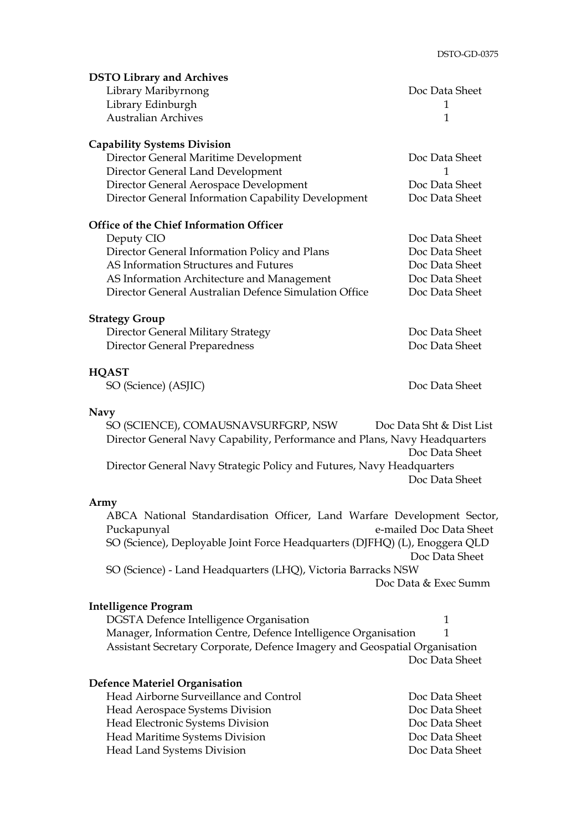| <b>DSTO Library and Archives</b>                                            |                          |
|-----------------------------------------------------------------------------|--------------------------|
| Library Maribyrnong                                                         | Doc Data Sheet           |
| Library Edinburgh                                                           | 1                        |
| <b>Australian Archives</b>                                                  | 1                        |
| <b>Capability Systems Division</b>                                          |                          |
| Director General Maritime Development                                       | Doc Data Sheet           |
| Director General Land Development                                           | 1                        |
| Director General Aerospace Development                                      | Doc Data Sheet           |
| Director General Information Capability Development                         | Doc Data Sheet           |
| Office of the Chief Information Officer                                     |                          |
| Deputy CIO                                                                  | Doc Data Sheet           |
| Director General Information Policy and Plans                               | Doc Data Sheet           |
| AS Information Structures and Futures                                       | Doc Data Sheet           |
| AS Information Architecture and Management                                  | Doc Data Sheet           |
| Director General Australian Defence Simulation Office                       | Doc Data Sheet           |
| <b>Strategy Group</b>                                                       |                          |
| Director General Military Strategy                                          | Doc Data Sheet           |
| <b>Director General Preparedness</b>                                        | Doc Data Sheet           |
|                                                                             |                          |
| <b>HQAST</b>                                                                |                          |
| SO (Science) (ASJIC)                                                        | Doc Data Sheet           |
| <b>Navy</b>                                                                 |                          |
| SO (SCIENCE), COMAUSNAVSURFGRP, NSW                                         | Doc Data Sht & Dist List |
| Director General Navy Capability, Performance and Plans, Navy Headquarters  |                          |
|                                                                             | Doc Data Sheet           |
| Director General Navy Strategic Policy and Futures, Navy Headquarters       |                          |
|                                                                             | Doc Data Sheet           |
| Army                                                                        |                          |
| ABCA National Standardisation Officer, Land Warfare Development Sector,     |                          |
| Puckapunyal                                                                 | e-mailed Doc Data Sheet  |
| SO (Science), Deployable Joint Force Headquarters (DJFHQ) (L), Enoggera QLD |                          |
|                                                                             | Doc Data Sheet           |
| SO (Science) - Land Headquarters (LHQ), Victoria Barracks NSW               |                          |
|                                                                             | Doc Data & Exec Summ     |
| <b>Intelligence Program</b>                                                 |                          |
| DGSTA Defence Intelligence Organisation                                     | 1                        |
| Manager, Information Centre, Defence Intelligence Organisation              | 1                        |
| Assistant Secretary Corporate, Defence Imagery and Geospatial Organisation  |                          |
|                                                                             | Doc Data Sheet           |
| <b>Defence Materiel Organisation</b>                                        |                          |
| Head Airborne Surveillance and Control                                      | Doc Data Sheet           |
| Head Aerospace Systems Division                                             | Doc Data Sheet           |
| Head Electronic Systems Division                                            | Doc Data Sheet           |
| Head Maritime Systems Division                                              | Doc Data Sheet           |

Head Land Systems Division **Doce Data Sheet** Doc Data Sheet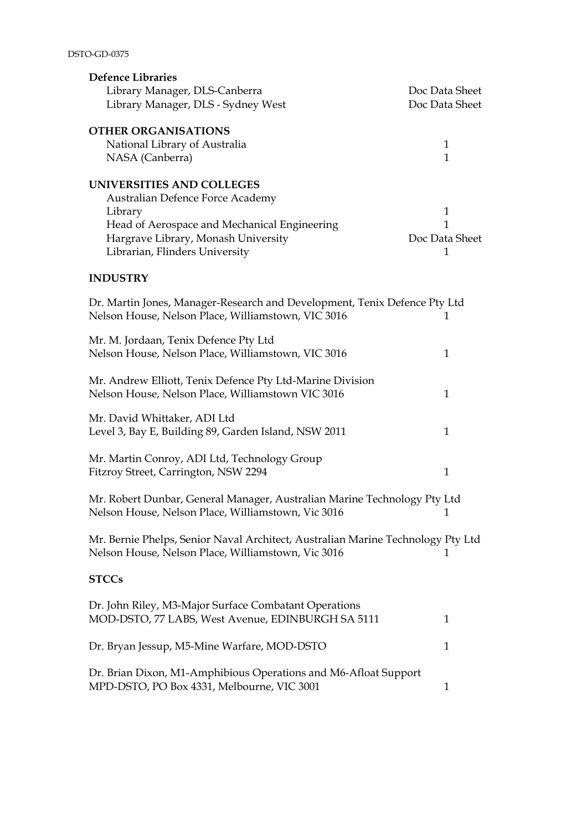#### DSTO-GD-0375

| <b>Defence Libraries</b>                                                                                                              |                |
|---------------------------------------------------------------------------------------------------------------------------------------|----------------|
| Library Manager, DLS-Canberra                                                                                                         | Doc Data Sheet |
| Library Manager, DLS - Sydney West                                                                                                    | Doc Data Sheet |
| <b>OTHER ORGANISATIONS</b>                                                                                                            |                |
| National Library of Australia                                                                                                         | 1              |
| NASA (Canberra)                                                                                                                       | 1              |
|                                                                                                                                       |                |
| UNIVERSITIES AND COLLEGES                                                                                                             |                |
| Australian Defence Force Academy                                                                                                      |                |
| Library                                                                                                                               | 1              |
| Head of Aerospace and Mechanical Engineering                                                                                          | 1              |
| Hargrave Library, Monash University                                                                                                   | Doc Data Sheet |
| Librarian, Flinders University                                                                                                        | 1              |
|                                                                                                                                       |                |
| <b>INDUSTRY</b>                                                                                                                       |                |
| Dr. Martin Jones, Manager-Research and Development, Tenix Defence Pty Ltd                                                             |                |
| Nelson House, Nelson Place, Williamstown, VIC 3016                                                                                    | 1              |
|                                                                                                                                       |                |
| Mr. M. Jordaan, Tenix Defence Pty Ltd                                                                                                 |                |
| Nelson House, Nelson Place, Williamstown, VIC 3016                                                                                    | 1              |
|                                                                                                                                       |                |
| Mr. Andrew Elliott, Tenix Defence Pty Ltd-Marine Division                                                                             |                |
| Nelson House, Nelson Place, Williamstown VIC 3016                                                                                     | 1              |
| Mr. David Whittaker, ADI Ltd                                                                                                          |                |
| Level 3, Bay E, Building 89, Garden Island, NSW 2011                                                                                  | 1              |
|                                                                                                                                       |                |
| Mr. Martin Conroy, ADI Ltd, Technology Group                                                                                          |                |
| Fitzroy Street, Carrington, NSW 2294                                                                                                  | $\mathbf{1}$   |
|                                                                                                                                       |                |
| Mr. Robert Dunbar, General Manager, Australian Marine Technology Pty Ltd                                                              |                |
| Nelson House, Nelson Place, Williamstown, Vic 3016                                                                                    |                |
|                                                                                                                                       |                |
| Mr. Bernie Phelps, Senior Naval Architect, Australian Marine Technology Pty Ltd<br>Nelson House, Nelson Place, Williamstown, Vic 3016 | 1              |
|                                                                                                                                       |                |
| <b>STCCs</b>                                                                                                                          |                |
|                                                                                                                                       |                |
| Dr. John Riley, M3-Major Surface Combatant Operations                                                                                 |                |
| MOD-DSTO, 77 LABS, West Avenue, EDINBURGH SA 5111                                                                                     | 1              |
|                                                                                                                                       |                |
| Dr. Bryan Jessup, M5-Mine Warfare, MOD-DSTO                                                                                           | 1              |
|                                                                                                                                       |                |
| Dr. Brian Dixon, M1-Amphibious Operations and M6-Afloat Support<br>MPD-DSTO, PO Box 4331, Melbourne, VIC 3001                         | $\mathbf{1}$   |
|                                                                                                                                       |                |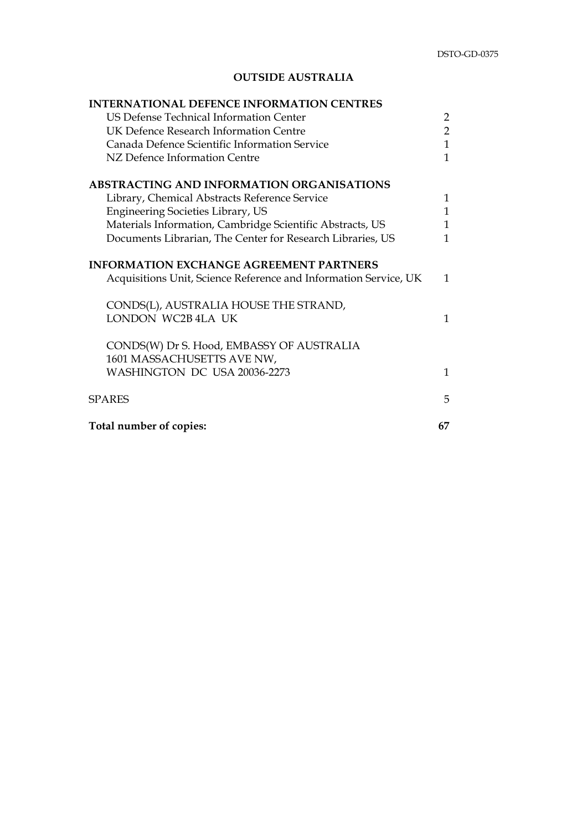### **OUTSIDE AUSTRALIA**

| <b>INTERNATIONAL DEFENCE INFORMATION CENTRES</b>                 |                |  |  |  |
|------------------------------------------------------------------|----------------|--|--|--|
| US Defense Technical Information Center                          | 2              |  |  |  |
| UK Defence Research Information Centre                           | $\overline{2}$ |  |  |  |
| Canada Defence Scientific Information Service                    | $\mathbf{1}$   |  |  |  |
| NZ Defence Information Centre                                    | 1              |  |  |  |
| <b>ABSTRACTING AND INFORMATION ORGANISATIONS</b>                 |                |  |  |  |
| Library, Chemical Abstracts Reference Service                    | 1              |  |  |  |
| <b>Engineering Societies Library, US</b>                         | 1              |  |  |  |
| Materials Information, Cambridge Scientific Abstracts, US        | 1              |  |  |  |
| Documents Librarian, The Center for Research Libraries, US       | 1              |  |  |  |
| <b>INFORMATION EXCHANGE AGREEMENT PARTNERS</b>                   |                |  |  |  |
| Acquisitions Unit, Science Reference and Information Service, UK | 1              |  |  |  |
| CONDS(L), AUSTRALIA HOUSE THE STRAND,                            |                |  |  |  |
| LONDON WC2B 4LA UK                                               | 1              |  |  |  |
| CONDS(W) Dr S. Hood, EMBASSY OF AUSTRALIA                        |                |  |  |  |
| 1601 MASSACHUSETTS AVE NW,                                       |                |  |  |  |
| WASHINGTON DC USA 20036-2273                                     | $\mathbf{1}$   |  |  |  |
| <b>SPARES</b>                                                    | 5              |  |  |  |
|                                                                  |                |  |  |  |
| Total number of copies:<br>67                                    |                |  |  |  |